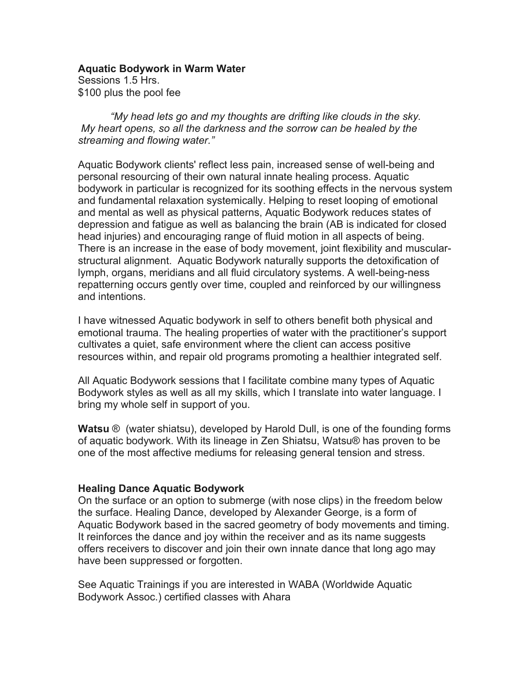**Aquatic Bodywork in Warm Water** Sessions 1.5 Hrs.

\$100 plus the pool fee

*"My head lets go and my thoughts are drifting like clouds in the sky. My heart opens, so all the darkness and the sorrow can be healed by the streaming and flowing water."*

Aquatic Bodywork clients' reflect less pain, increased sense of well-being and personal resourcing of their own natural innate healing process. Aquatic bodywork in particular is recognized for its soothing effects in the nervous system and fundamental relaxation systemically. Helping to reset looping of emotional and mental as well as physical patterns, Aquatic Bodywork reduces states of depression and fatigue as well as balancing the brain (AB is indicated for closed head injuries) and encouraging range of fluid motion in all aspects of being. There is an increase in the ease of body movement, joint flexibility and muscularstructural alignment. Aquatic Bodywork naturally supports the detoxification of lymph, organs, meridians and all fluid circulatory systems. A well-being-ness repatterning occurs gently over time, coupled and reinforced by our willingness and intentions.

I have witnessed Aquatic bodywork in self to others benefit both physical and emotional trauma. The healing properties of water with the practitioner's support cultivates a quiet, safe environment where the client can access positive resources within, and repair old programs promoting a healthier integrated self.

All Aquatic Bodywork sessions that I facilitate combine many types of Aquatic Bodywork styles as well as all my skills, which I translate into water language. I bring my whole self in support of you.

**Watsu** ® (water shiatsu), developed by Harold Dull, is one of the founding forms of aquatic bodywork. With its lineage in Zen Shiatsu, Watsu® has proven to be one of the most affective mediums for releasing general tension and stress.

## **Healing Dance Aquatic Bodywork**

On the surface or an option to submerge (with nose clips) in the freedom below the surface. Healing Dance, developed by Alexander George, is a form of Aquatic Bodywork based in the sacred geometry of body movements and timing. It reinforces the dance and joy within the receiver and as its name suggests offers receivers to discover and join their own innate dance that long ago may have been suppressed or forgotten.

See Aquatic Trainings if you are interested in WABA (Worldwide Aquatic Bodywork Assoc.) certified classes with Ahara